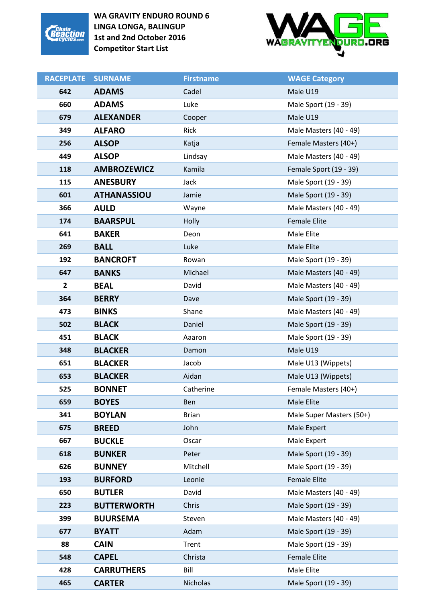



| <b>RACEPLATE</b> | <b>SURNAME</b>     | <b>Firstname</b> | <b>WAGE Category</b>     |
|------------------|--------------------|------------------|--------------------------|
| 642              | <b>ADAMS</b>       | Cadel            | Male U19                 |
| 660              | <b>ADAMS</b>       | Luke             | Male Sport (19 - 39)     |
| 679              | <b>ALEXANDER</b>   | Cooper           | Male U19                 |
| 349              | <b>ALFARO</b>      | Rick             | Male Masters (40 - 49)   |
| 256              | <b>ALSOP</b>       | Katja            | Female Masters (40+)     |
| 449              | <b>ALSOP</b>       | Lindsay          | Male Masters (40 - 49)   |
| 118              | <b>AMBROZEWICZ</b> | Kamila           | Female Sport (19 - 39)   |
| 115              | <b>ANESBURY</b>    | Jack             | Male Sport (19 - 39)     |
| 601              | <b>ATHANASSIOU</b> | Jamie            | Male Sport (19 - 39)     |
| 366              | <b>AULD</b>        | Wayne            | Male Masters (40 - 49)   |
| 174              | <b>BAARSPUL</b>    | Holly            | <b>Female Elite</b>      |
| 641              | <b>BAKER</b>       | Deon             | Male Elite               |
| 269              | <b>BALL</b>        | Luke             | Male Elite               |
| 192              | <b>BANCROFT</b>    | Rowan            | Male Sport (19 - 39)     |
| 647              | <b>BANKS</b>       | Michael          | Male Masters (40 - 49)   |
| $\mathbf{2}$     | <b>BEAL</b>        | David            | Male Masters (40 - 49)   |
| 364              | <b>BERRY</b>       | Dave             | Male Sport (19 - 39)     |
| 473              | <b>BINKS</b>       | Shane            | Male Masters (40 - 49)   |
| 502              | <b>BLACK</b>       | Daniel           | Male Sport (19 - 39)     |
| 451              | <b>BLACK</b>       | Aaaron           | Male Sport (19 - 39)     |
| 348              | <b>BLACKER</b>     | Damon            | Male U19                 |
| 651              | <b>BLACKER</b>     | Jacob            | Male U13 (Wippets)       |
| 653              | <b>BLACKER</b>     | Aidan            | Male U13 (Wippets)       |
| 525              | <b>BONNET</b>      | Catherine        | Female Masters (40+)     |
| 659              | <b>BOYES</b>       | Ben              | Male Elite               |
| 341              | <b>BOYLAN</b>      | <b>Brian</b>     | Male Super Masters (50+) |
| 675              | <b>BREED</b>       | John             | Male Expert              |
| 667              | <b>BUCKLE</b>      | Oscar            | Male Expert              |
| 618              | <b>BUNKER</b>      | Peter            | Male Sport (19 - 39)     |
| 626              | <b>BUNNEY</b>      | Mitchell         | Male Sport (19 - 39)     |
| 193              | <b>BURFORD</b>     | Leonie           | <b>Female Elite</b>      |
| 650              | <b>BUTLER</b>      | David            | Male Masters (40 - 49)   |
| 223              | <b>BUTTERWORTH</b> | Chris            | Male Sport (19 - 39)     |
| 399              | <b>BUURSEMA</b>    | Steven           | Male Masters (40 - 49)   |
| 677              | <b>BYATT</b>       | Adam             | Male Sport (19 - 39)     |
| 88               | <b>CAIN</b>        | Trent            | Male Sport (19 - 39)     |
| 548              | <b>CAPEL</b>       | Christa          | <b>Female Elite</b>      |
| 428              | <b>CARRUTHERS</b>  | Bill             | Male Elite               |
| 465              | <b>CARTER</b>      | Nicholas         | Male Sport (19 - 39)     |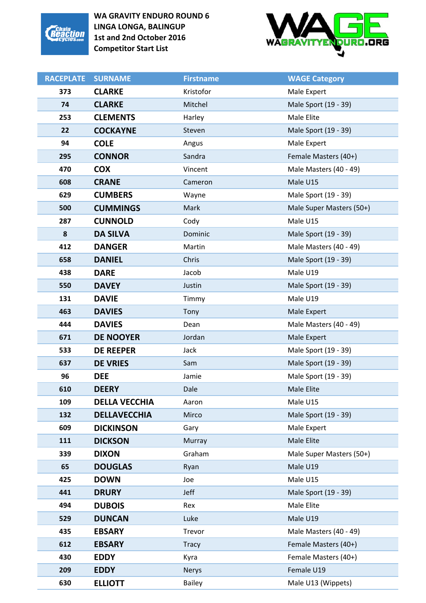



| <b>RACEPLATE</b> | <b>SURNAME</b>       | <b>Firstname</b> | <b>WAGE Category</b>     |
|------------------|----------------------|------------------|--------------------------|
| 373              | <b>CLARKE</b>        | Kristofor        | Male Expert              |
| 74               | <b>CLARKE</b>        | Mitchel          | Male Sport (19 - 39)     |
| 253              | <b>CLEMENTS</b>      | Harley           | Male Elite               |
| 22               | <b>COCKAYNE</b>      | Steven           | Male Sport (19 - 39)     |
| 94               | <b>COLE</b>          | Angus            | Male Expert              |
| 295              | <b>CONNOR</b>        | Sandra           | Female Masters (40+)     |
| 470              | <b>COX</b>           | Vincent          | Male Masters (40 - 49)   |
| 608              | <b>CRANE</b>         | Cameron          | Male U15                 |
| 629              | <b>CUMBERS</b>       | Wayne            | Male Sport (19 - 39)     |
| 500              | <b>CUMMINGS</b>      | Mark             | Male Super Masters (50+) |
| 287              | <b>CUNNOLD</b>       | Cody             | Male U15                 |
| 8                | <b>DA SILVA</b>      | Dominic          | Male Sport (19 - 39)     |
| 412              | <b>DANGER</b>        | Martin           | Male Masters (40 - 49)   |
| 658              | <b>DANIEL</b>        | Chris            | Male Sport (19 - 39)     |
| 438              | <b>DARE</b>          | Jacob            | Male U19                 |
| 550              | <b>DAVEY</b>         | Justin           | Male Sport (19 - 39)     |
| 131              | <b>DAVIE</b>         | Timmy            | Male U19                 |
| 463              | <b>DAVIES</b>        | Tony             | Male Expert              |
| 444              | <b>DAVIES</b>        | Dean             | Male Masters (40 - 49)   |
| 671              | <b>DE NOOYER</b>     | Jordan           | Male Expert              |
| 533              | <b>DE REEPER</b>     | Jack             | Male Sport (19 - 39)     |
| 637              | <b>DE VRIES</b>      | Sam              | Male Sport (19 - 39)     |
| 96               | <b>DEE</b>           | Jamie            | Male Sport (19 - 39)     |
| 610              | <b>DEERY</b>         | Dale             | Male Elite               |
| 109              | <b>DELLA VECCHIA</b> | Aaron            | Male U15                 |
| 132              | <b>DELLAVECCHIA</b>  | Mirco            | Male Sport (19 - 39)     |
| 609              | <b>DICKINSON</b>     | Gary             | Male Expert              |
| 111              | <b>DICKSON</b>       | Murray           | Male Elite               |
| 339              | <b>DIXON</b>         | Graham           | Male Super Masters (50+) |
| 65               | <b>DOUGLAS</b>       | Ryan             | Male U19                 |
| 425              | <b>DOWN</b>          | Joe              | Male U15                 |
| 441              | <b>DRURY</b>         | Jeff             | Male Sport (19 - 39)     |
| 494              | <b>DUBOIS</b>        | Rex              | Male Elite               |
| 529              | <b>DUNCAN</b>        | Luke             | Male U19                 |
| 435              | <b>EBSARY</b>        | Trevor           | Male Masters (40 - 49)   |
| 612              | <b>EBSARY</b>        | <b>Tracy</b>     | Female Masters (40+)     |
| 430              | <b>EDDY</b>          | Kyra             | Female Masters (40+)     |
| 209              | <b>EDDY</b>          | <b>Nerys</b>     | Female U19               |
| 630              | <b>ELLIOTT</b>       | <b>Bailey</b>    | Male U13 (Wippets)       |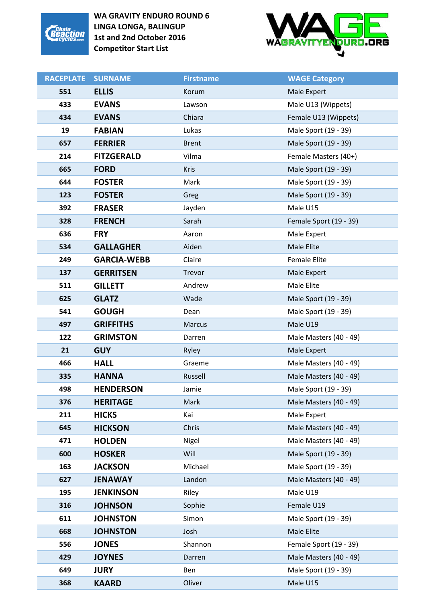



| <b>RACEPLATE</b> | <b>SURNAME</b>     | <b>Firstname</b> | <b>WAGE Category</b>   |
|------------------|--------------------|------------------|------------------------|
| 551              | <b>ELLIS</b>       | Korum            | Male Expert            |
| 433              | <b>EVANS</b>       | Lawson           | Male U13 (Wippets)     |
| 434              | <b>EVANS</b>       | Chiara           | Female U13 (Wippets)   |
| 19               | <b>FABIAN</b>      | Lukas            | Male Sport (19 - 39)   |
| 657              | <b>FERRIER</b>     | <b>Brent</b>     | Male Sport (19 - 39)   |
| 214              | <b>FITZGERALD</b>  | Vilma            | Female Masters (40+)   |
| 665              | <b>FORD</b>        | <b>Kris</b>      | Male Sport (19 - 39)   |
| 644              | <b>FOSTER</b>      | Mark             | Male Sport (19 - 39)   |
| 123              | <b>FOSTER</b>      | Greg             | Male Sport (19 - 39)   |
| 392              | <b>FRASER</b>      | Jayden           | Male U15               |
| 328              | <b>FRENCH</b>      | Sarah            | Female Sport (19 - 39) |
| 636              | <b>FRY</b>         | Aaron            | Male Expert            |
| 534              | <b>GALLAGHER</b>   | Aiden            | Male Elite             |
| 249              | <b>GARCIA-WEBB</b> | Claire           | <b>Female Elite</b>    |
| 137              | <b>GERRITSEN</b>   | Trevor           | Male Expert            |
| 511              | <b>GILLETT</b>     | Andrew           | Male Elite             |
| 625              | <b>GLATZ</b>       | Wade             | Male Sport (19 - 39)   |
| 541              | <b>GOUGH</b>       | Dean             | Male Sport (19 - 39)   |
| 497              | <b>GRIFFITHS</b>   | <b>Marcus</b>    | Male U19               |
| 122              | <b>GRIMSTON</b>    | Darren           | Male Masters (40 - 49) |
| 21               | <b>GUY</b>         | Ryley            | Male Expert            |
| 466              | <b>HALL</b>        | Graeme           | Male Masters (40 - 49) |
| 335              | <b>HANNA</b>       | Russell          | Male Masters (40 - 49) |
| 498              | <b>HENDERSON</b>   | Jamie            | Male Sport (19 - 39)   |
| 376              | <b>HERITAGE</b>    | Mark             | Male Masters (40 - 49) |
| 211              | <b>HICKS</b>       | Kai              | Male Expert            |
| 645              | <b>HICKSON</b>     | Chris            | Male Masters (40 - 49) |
| 471              | <b>HOLDEN</b>      | Nigel            | Male Masters (40 - 49) |
| 600              | <b>HOSKER</b>      | Will             | Male Sport (19 - 39)   |
| 163              | <b>JACKSON</b>     | Michael          | Male Sport (19 - 39)   |
| 627              | <b>JENAWAY</b>     | Landon           | Male Masters (40 - 49) |
| 195              | <b>JENKINSON</b>   | Riley            | Male U19               |
| 316              | <b>JOHNSON</b>     | Sophie           | Female U19             |
| 611              | <b>JOHNSTON</b>    | Simon            | Male Sport (19 - 39)   |
| 668              | <b>JOHNSTON</b>    | Josh             | Male Elite             |
| 556              | <b>JONES</b>       | Shannon          | Female Sport (19 - 39) |
| 429              | <b>JOYNES</b>      | Darren           | Male Masters (40 - 49) |
| 649              | <b>JURY</b>        | Ben              | Male Sport (19 - 39)   |
| 368              | <b>KAARD</b>       | Oliver           | Male U15               |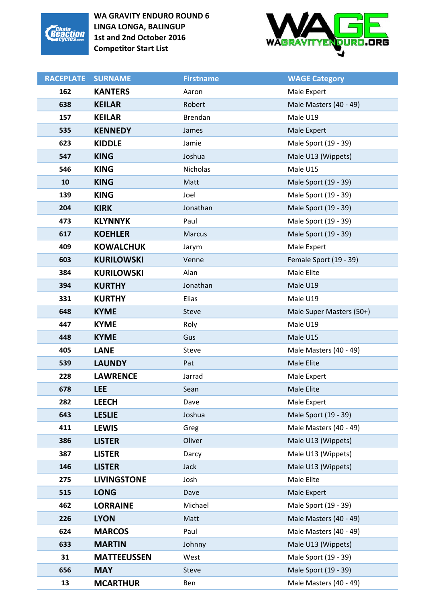



| <b>RACEPLATE</b> | <b>SURNAME</b>     | <b>Firstname</b> | <b>WAGE Category</b>     |
|------------------|--------------------|------------------|--------------------------|
| 162              | <b>KANTERS</b>     | Aaron            | Male Expert              |
| 638              | <b>KEILAR</b>      | Robert           | Male Masters (40 - 49)   |
| 157              | <b>KEILAR</b>      | Brendan          | Male U19                 |
| 535              | <b>KENNEDY</b>     | James            | Male Expert              |
| 623              | <b>KIDDLE</b>      | Jamie            | Male Sport (19 - 39)     |
| 547              | <b>KING</b>        | Joshua           | Male U13 (Wippets)       |
| 546              | <b>KING</b>        | <b>Nicholas</b>  | Male U15                 |
| 10               | <b>KING</b>        | Matt             | Male Sport (19 - 39)     |
| 139              | <b>KING</b>        | Joel             | Male Sport (19 - 39)     |
| 204              | <b>KIRK</b>        | Jonathan         | Male Sport (19 - 39)     |
| 473              | <b>KLYNNYK</b>     | Paul             | Male Sport (19 - 39)     |
| 617              | <b>KOEHLER</b>     | <b>Marcus</b>    | Male Sport (19 - 39)     |
| 409              | <b>KOWALCHUK</b>   | Jarym            | Male Expert              |
| 603              | <b>KURILOWSKI</b>  | Venne            | Female Sport (19 - 39)   |
| 384              | <b>KURILOWSKI</b>  | Alan             | Male Elite               |
| 394              | <b>KURTHY</b>      | Jonathan         | Male U19                 |
| 331              | <b>KURTHY</b>      | Elias            | Male U19                 |
| 648              | <b>KYME</b>        | <b>Steve</b>     | Male Super Masters (50+) |
| 447              | <b>KYME</b>        | Roly             | Male U19                 |
| 448              | <b>KYME</b>        | Gus              | Male U15                 |
| 405              | <b>LANE</b>        | Steve            | Male Masters (40 - 49)   |
| 539              | <b>LAUNDY</b>      | Pat              | Male Elite               |
| 228              | <b>LAWRENCE</b>    | Jarrad           | Male Expert              |
| 678              | <b>LEE</b>         | Sean             | Male Elite               |
| 282              | <b>LEECH</b>       | Dave             | Male Expert              |
| 643              | <b>LESLIE</b>      | Joshua           | Male Sport (19 - 39)     |
| 411              | <b>LEWIS</b>       | Greg             | Male Masters (40 - 49)   |
| 386              | <b>LISTER</b>      | Oliver           | Male U13 (Wippets)       |
| 387              | <b>LISTER</b>      | Darcy            | Male U13 (Wippets)       |
| 146              | <b>LISTER</b>      | <b>Jack</b>      | Male U13 (Wippets)       |
| 275              | <b>LIVINGSTONE</b> | Josh             | Male Elite               |
| 515              | <b>LONG</b>        | Dave             | Male Expert              |
| 462              | <b>LORRAINE</b>    | Michael          | Male Sport (19 - 39)     |
| 226              | <b>LYON</b>        | Matt             | Male Masters (40 - 49)   |
| 624              | <b>MARCOS</b>      | Paul             | Male Masters (40 - 49)   |
| 633              | <b>MARTIN</b>      | Johnny           | Male U13 (Wippets)       |
| 31               | <b>MATTEEUSSEN</b> | West             | Male Sport (19 - 39)     |
| 656              | <b>MAY</b>         | <b>Steve</b>     | Male Sport (19 - 39)     |
| 13               | <b>MCARTHUR</b>    | Ben              | Male Masters (40 - 49)   |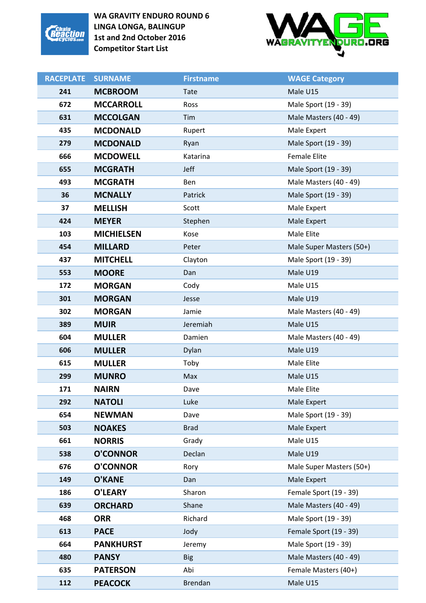



| <b>RACEPLATE</b> | <b>SURNAME</b>    | <b>Firstname</b> | <b>WAGE Category</b>     |
|------------------|-------------------|------------------|--------------------------|
| 241              | <b>MCBROOM</b>    | <b>Tate</b>      | Male U15                 |
| 672              | <b>MCCARROLL</b>  | Ross             | Male Sport (19 - 39)     |
| 631              | <b>MCCOLGAN</b>   | Tim              | Male Masters (40 - 49)   |
| 435              | <b>MCDONALD</b>   | Rupert           | Male Expert              |
| 279              | <b>MCDONALD</b>   | Ryan             | Male Sport (19 - 39)     |
| 666              | <b>MCDOWELL</b>   | Katarina         | <b>Female Elite</b>      |
| 655              | <b>MCGRATH</b>    | Jeff             | Male Sport (19 - 39)     |
| 493              | <b>MCGRATH</b>    | Ben              | Male Masters (40 - 49)   |
| 36               | <b>MCNALLY</b>    | Patrick          | Male Sport (19 - 39)     |
| 37               | <b>MELLISH</b>    | Scott            | Male Expert              |
| 424              | <b>MEYER</b>      | Stephen          | Male Expert              |
| 103              | <b>MICHIELSEN</b> | Kose             | Male Elite               |
| 454              | <b>MILLARD</b>    | Peter            | Male Super Masters (50+) |
| 437              | <b>MITCHELL</b>   | Clayton          | Male Sport (19 - 39)     |
| 553              | <b>MOORE</b>      | Dan              | Male U19                 |
| 172              | <b>MORGAN</b>     | Cody             | Male U15                 |
| 301              | <b>MORGAN</b>     | Jesse            | Male U19                 |
| 302              | <b>MORGAN</b>     | Jamie            | Male Masters (40 - 49)   |
| 389              | <b>MUIR</b>       | Jeremiah         | Male U15                 |
| 604              | <b>MULLER</b>     | Damien           | Male Masters (40 - 49)   |
| 606              | <b>MULLER</b>     | Dylan            | Male U19                 |
| 615              | <b>MULLER</b>     | Toby             | Male Elite               |
| 299              | <b>MUNRO</b>      | Max              | Male U15                 |
| 171              | <b>NAIRN</b>      | Dave             | Male Elite               |
| 292              | <b>NATOLI</b>     | Luke             | Male Expert              |
| 654              | <b>NEWMAN</b>     | Dave             | Male Sport (19 - 39)     |
| 503              | <b>NOAKES</b>     | <b>Brad</b>      | Male Expert              |
| 661              | <b>NORRIS</b>     | Grady            | Male U15                 |
| 538              | <b>O'CONNOR</b>   | Declan           | Male U19                 |
| 676              | <b>O'CONNOR</b>   | Rory             | Male Super Masters (50+) |
| 149              | <b>O'KANE</b>     | Dan              | Male Expert              |
| 186              | O'LEARY           | Sharon           | Female Sport (19 - 39)   |
| 639              | <b>ORCHARD</b>    | Shane            | Male Masters (40 - 49)   |
| 468              | <b>ORR</b>        | Richard          | Male Sport (19 - 39)     |
| 613              | <b>PACE</b>       | Jody             | Female Sport (19 - 39)   |
| 664              | <b>PANKHURST</b>  | Jeremy           | Male Sport (19 - 39)     |
| 480              | <b>PANSY</b>      | <b>Big</b>       | Male Masters (40 - 49)   |
| 635              | <b>PATERSON</b>   | Abi              | Female Masters (40+)     |
| 112              | <b>PEACOCK</b>    | <b>Brendan</b>   | Male U15                 |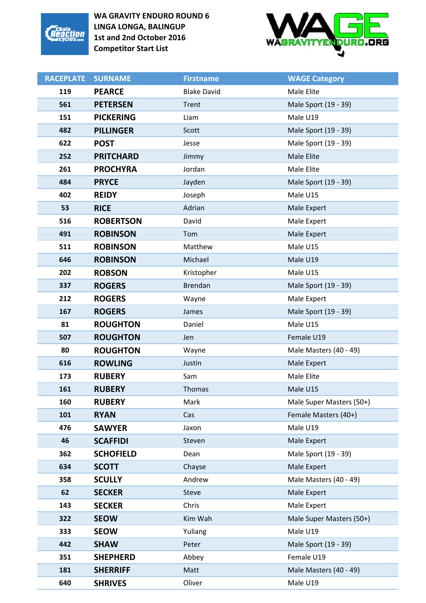



| <b>RACEPLATE</b> | <b>SURNAME</b>   | <b>Firstname</b>   | <b>WAGE Category</b>     |
|------------------|------------------|--------------------|--------------------------|
| 119              | <b>PEARCE</b>    | <b>Blake David</b> | Male Elite               |
| 561              | <b>PETERSEN</b>  | Trent              | Male Sport (19 - 39)     |
| 151              | <b>PICKERING</b> | Liam               | Male U19                 |
| 482              | <b>PILLINGER</b> | Scott              | Male Sport (19 - 39)     |
| 622              | <b>POST</b>      | Jesse              | Male Sport (19 - 39)     |
| 252              | <b>PRITCHARD</b> | Jimmy              | Male Elite               |
| 261              | <b>PROCHYRA</b>  | Jordan             | Male Elite               |
| 484              | <b>PRYCE</b>     | Jayden             | Male Sport (19 - 39)     |
| 402              | <b>REIDY</b>     | Joseph             | Male U15                 |
| 53               | <b>RICE</b>      | Adrian             | Male Expert              |
| 516              | <b>ROBERTSON</b> | David              | Male Expert              |
| 491              | <b>ROBINSON</b>  | Tom                | Male Expert              |
| 511              | <b>ROBINSON</b>  | Matthew            | Male U15                 |
| 646              | <b>ROBINSON</b>  | Michael            | Male U19                 |
| 202              | <b>ROBSON</b>    | Kristopher         | Male U15                 |
| 337              | <b>ROGERS</b>    | <b>Brendan</b>     | Male Sport (19 - 39)     |
| 212              | <b>ROGERS</b>    | Wayne              | Male Expert              |
| 167              | <b>ROGERS</b>    | James              | Male Sport (19 - 39)     |
| 81               | <b>ROUGHTON</b>  | Daniel             | Male U15                 |
| 507              | <b>ROUGHTON</b>  | Jen                | Female U19               |
| 80               | <b>ROUGHTON</b>  | Wayne              | Male Masters (40 - 49)   |
| 616              | <b>ROWLING</b>   | Justin             | Male Expert              |
| 173              | <b>RUBERY</b>    | Sam                | Male Elite               |
| 161              | <b>RUBERY</b>    | Thomas             | Male U15                 |
| 160              | <b>RUBERY</b>    | Mark               | Male Super Masters (50+) |
| 101              | <b>RYAN</b>      | Cas                | Female Masters (40+)     |
| 476              | <b>SAWYER</b>    | Jaxon              | Male U19                 |
| 46               | <b>SCAFFIDI</b>  | Steven             | Male Expert              |
| 362              | <b>SCHOFIELD</b> | Dean               | Male Sport (19 - 39)     |
| 634              | <b>SCOTT</b>     | Chayse             | Male Expert              |
| 358              | <b>SCULLY</b>    | Andrew             | Male Masters (40 - 49)   |
| 62               | <b>SECKER</b>    | Steve              | Male Expert              |
| 143              | <b>SECKER</b>    | Chris              | Male Expert              |
| 322              | <b>SEOW</b>      | Kim Wah            | Male Super Masters (50+) |
| 333              | <b>SEOW</b>      | Yuliang            | Male U19                 |
| 442              | <b>SHAW</b>      | Peter              | Male Sport (19 - 39)     |
| 351              | <b>SHEPHERD</b>  | Abbey              | Female U19               |
| 181              | <b>SHERRIFF</b>  | Matt               | Male Masters (40 - 49)   |
| 640              | <b>SHRIVES</b>   | Oliver             | Male U19                 |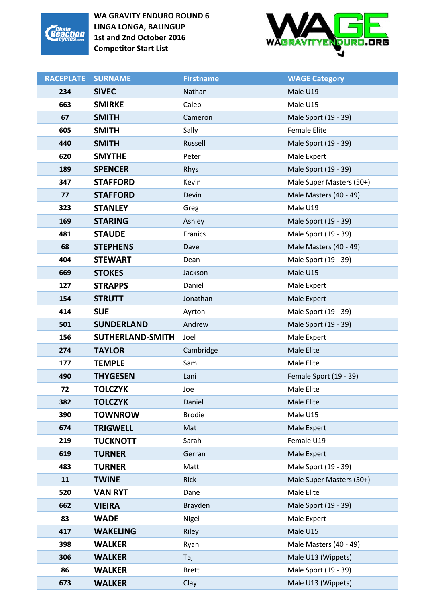



| <b>RACEPLATE</b> | <b>SURNAME</b>                 | <b>Firstname</b>     | <b>WAGE Category</b>                       |
|------------------|--------------------------------|----------------------|--------------------------------------------|
| 234              | <b>SIVEC</b>                   | Nathan               | Male U19                                   |
| 663              | <b>SMIRKE</b>                  | Caleb                | Male U15                                   |
| 67               | <b>SMITH</b>                   | Cameron              | Male Sport (19 - 39)                       |
| 605              | <b>SMITH</b>                   | Sally                | <b>Female Elite</b>                        |
| 440              | <b>SMITH</b>                   | Russell              | Male Sport (19 - 39)                       |
| 620              | <b>SMYTHE</b>                  | Peter                | Male Expert                                |
| 189              | <b>SPENCER</b>                 | Rhys                 | Male Sport (19 - 39)                       |
| 347              | <b>STAFFORD</b>                | Kevin                | Male Super Masters (50+)                   |
| 77               | <b>STAFFORD</b>                | Devin                | Male Masters (40 - 49)                     |
| 323              | <b>STANLEY</b>                 | Greg                 | Male U19                                   |
| 169              | <b>STARING</b>                 | Ashley               | Male Sport (19 - 39)                       |
| 481              | <b>STAUDE</b>                  | Franics              | Male Sport (19 - 39)                       |
| 68               | <b>STEPHENS</b>                | Dave                 | Male Masters (40 - 49)                     |
| 404              | <b>STEWART</b>                 | Dean                 | Male Sport (19 - 39)                       |
| 669              | <b>STOKES</b>                  | Jackson              | Male U15                                   |
| 127              | <b>STRAPPS</b>                 | Daniel               | Male Expert                                |
| 154              | <b>STRUTT</b>                  | Jonathan             | Male Expert                                |
| 414              | <b>SUE</b>                     | Ayrton               | Male Sport (19 - 39)                       |
| 501              | <b>SUNDERLAND</b>              | Andrew               | Male Sport (19 - 39)                       |
|                  |                                |                      |                                            |
| 156              | <b>SUTHERLAND-SMITH</b>        | Joel                 | Male Expert                                |
| 274              | <b>TAYLOR</b>                  | Cambridge            | Male Elite                                 |
| 177              | <b>TEMPLE</b>                  | Sam                  | Male Elite                                 |
| 490              | <b>THYGESEN</b>                | Lani                 | Female Sport (19 - 39)                     |
| 72               | <b>TOLCZYK</b>                 | Joe                  | Male Elite                                 |
| 382              | <b>TOLCZYK</b>                 | Daniel               | Male Elite                                 |
| 390              | <b>TOWNROW</b>                 | <b>Brodie</b>        | Male U15                                   |
| 674              | <b>TRIGWELL</b>                | Mat                  | Male Expert                                |
| 219              | <b>TUCKNOTT</b>                | Sarah                | Female U19                                 |
| 619              | <b>TURNER</b>                  | Gerran               | Male Expert                                |
| 483              | <b>TURNER</b>                  | Matt                 | Male Sport (19 - 39)                       |
| 11               | <b>TWINE</b>                   | <b>Rick</b>          | Male Super Masters (50+)                   |
| 520              | <b>VAN RYT</b>                 | Dane                 | Male Elite                                 |
| 662              | <b>VIEIRA</b>                  | Brayden              | Male Sport (19 - 39)                       |
| 83               | <b>WADE</b>                    | Nigel                | Male Expert                                |
| 417              | <b>WAKELING</b>                | Riley                | Male U15                                   |
| 398              | <b>WALKER</b>                  | Ryan                 | Male Masters (40 - 49)                     |
| 306              | <b>WALKER</b>                  | Taj                  | Male U13 (Wippets)                         |
| 86<br>673        | <b>WALKER</b><br><b>WALKER</b> | <b>Brett</b><br>Clay | Male Sport (19 - 39)<br>Male U13 (Wippets) |